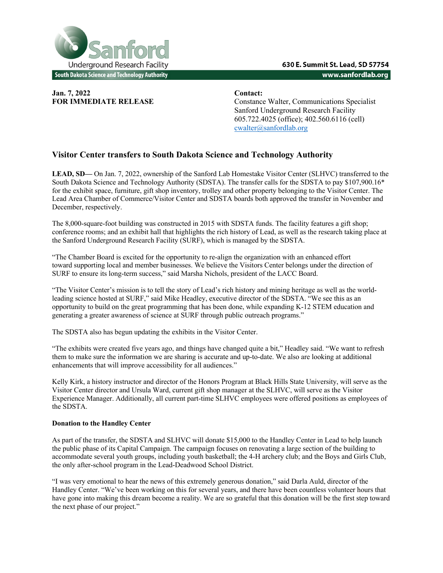

**Jan. 7, 2022 Contact:** 

**FOR IMMEDIATE RELEASE** Constance Walter, Communications Specialist Sanford Underground Research Facility 605.722.4025 (office); 402.560.6116 (cell) cwalter@sanfordlab.org

## **Visitor Center transfers to South Dakota Science and Technology Authority**

**LEAD, SD—** On Jan. 7, 2022, ownership of the Sanford Lab Homestake Visitor Center (SLHVC) transferred to the South Dakota Science and Technology Authority (SDSTA). The transfer calls for the SDSTA to pay \$107,900.16\* for the exhibit space, furniture, gift shop inventory, trolley and other property belonging to the Visitor Center. The Lead Area Chamber of Commerce/Visitor Center and SDSTA boards both approved the transfer in November and December, respectively.

The 8,000-square-foot building was constructed in 2015 with SDSTA funds. The facility features a gift shop; conference rooms; and an exhibit hall that highlights the rich history of Lead, as well as the research taking place at the Sanford Underground Research Facility (SURF), which is managed by the SDSTA.

"The Chamber Board is excited for the opportunity to re-align the organization with an enhanced effort toward supporting local and member businesses. We believe the Visitors Center belongs under the direction of SURF to ensure its long-term success," said Marsha Nichols, president of the LACC Board.

"The Visitor Center's mission is to tell the story of Lead's rich history and mining heritage as well as the worldleading science hosted at SURF," said Mike Headley, executive director of the SDSTA. "We see this as an opportunity to build on the great programming that has been done, while expanding K-12 STEM education and generating a greater awareness of science at SURF through public outreach programs."

The SDSTA also has begun updating the exhibits in the Visitor Center.

"The exhibits were created five years ago, and things have changed quite a bit," Headley said. "We want to refresh them to make sure the information we are sharing is accurate and up-to-date. We also are looking at additional enhancements that will improve accessibility for all audiences."

Kelly Kirk, a history instructor and director of the Honors Program at Black Hills State University, will serve as the Visitor Center director and Ursula Ward, current gift shop manager at the SLHVC, will serve as the Visitor Experience Manager. Additionally, all current part-time SLHVC employees were offered positions as employees of the SDSTA.

## **Donation to the Handley Center**

As part of the transfer, the SDSTA and SLHVC will donate \$15,000 to the Handley Center in Lead to help launch the public phase of its Capital Campaign. The campaign focuses on renovating a large section of the building to accommodate several youth groups, including youth basketball; the 4-H archery club; and the Boys and Girls Club, the only after-school program in the Lead-Deadwood School District.

"I was very emotional to hear the news of this extremely generous donation," said Darla Auld, director of the Handley Center. "We've been working on this for several years, and there have been countless volunteer hours that have gone into making this dream become a reality. We are so grateful that this donation will be the first step toward the next phase of our project."